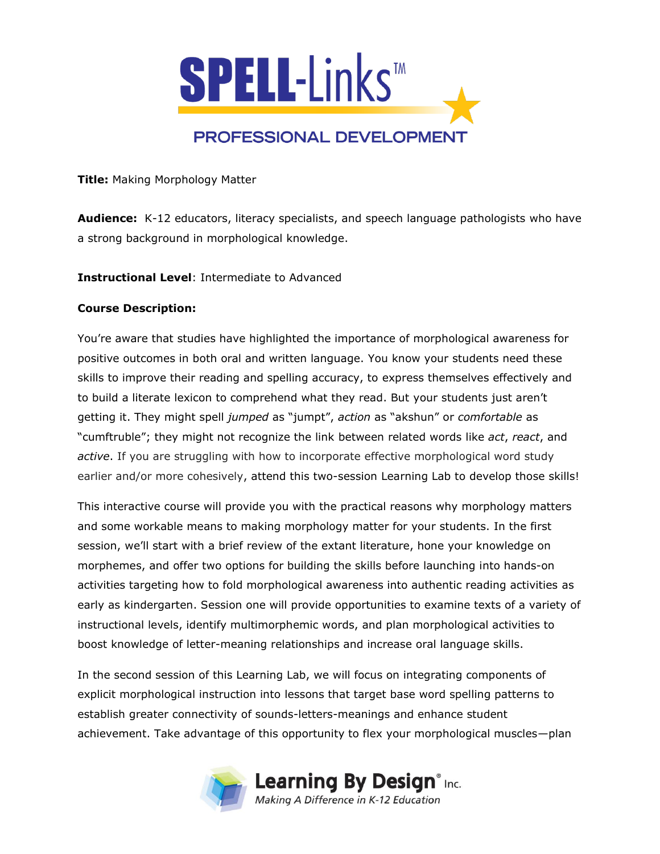

**Title:** Making Morphology Matter

**Audience:** K-12 educators, literacy specialists, and speech language pathologists who have a strong background in morphological knowledge.

**Instructional Level**: Intermediate to Advanced

## **Course Description:**

You're aware that studies have highlighted the importance of morphological awareness for positive outcomes in both oral and written language. You know your students need these skills to improve their reading and spelling accuracy, to express themselves effectively and to build a literate lexicon to comprehend what they read. But your students just aren't getting it. They might spell *jumped* as "jumpt", *action* as "akshun" or *comfortable* as "cumftruble"; they might not recognize the link between related words like *act*, *react*, and *active*. If you are struggling with how to incorporate effective morphological word study earlier and/or more cohesively, attend this two-session Learning Lab to develop those skills!

This interactive course will provide you with the practical reasons why morphology matters and some workable means to making morphology matter for your students. In the first session, we'll start with a brief review of the extant literature, hone your knowledge on morphemes, and offer two options for building the skills before launching into hands-on activities targeting how to fold morphological awareness into authentic reading activities as early as kindergarten. Session one will provide opportunities to examine texts of a variety of instructional levels, identify multimorphemic words, and plan morphological activities to boost knowledge of letter-meaning relationships and increase oral language skills.

In the second session of this Learning Lab, we will focus on integrating components of explicit morphological instruction into lessons that target base word spelling patterns to establish greater connectivity of sounds-letters-meanings and enhance student achievement. Take advantage of this opportunity to flex your morphological muscles—plan